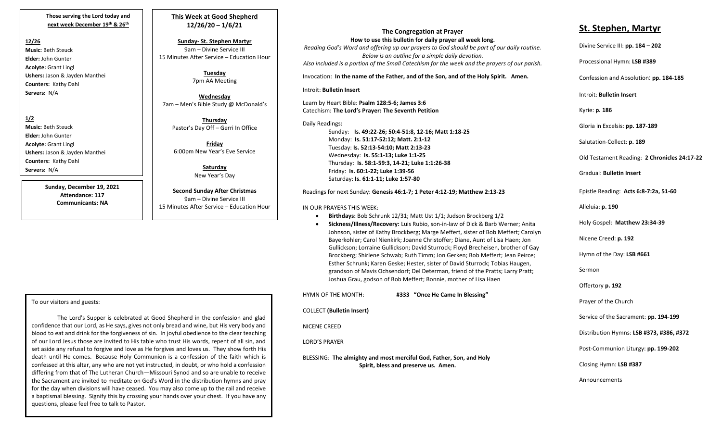**Those serving the Lord today and next week December 19 th & 26th**

### **12/26**

**Music:** Beth Steuck **Elder:** John Gunter **Acolyte:** Grant Lingl **Ushers:** Jason & Jayden Manthei **Counters:** Kathy Dahl **Servers:** N/A

**1/2 Music:** Beth Steuck **Elder:** John Gunter **Acolyte:** Grant Lingl **Ushers:** Jason & Jayden Manthei **Counters:** Kathy Dahl **Servers:** N/A

> **Sunday, December 19, 2021 Attendance: 117 Communicants: NA**

**This Week at Good Shepherd 12/26/20 – 1/6/21**

**Sunday- St. Stephen Martyr** 9am – Divine Service III 15 Minutes After Service – Education Hour

> **Tuesday** 7pm AA Meeting

**Wednesday** 7am – Men's Bible Study @ McDonald's

> **Thursday** Pastor's Day Off – Gerri In Office

**Friday** 6:00pm New Year's Eve Service

> **Saturday** New Year's Day

**Second Sunday After Christmas** 9am – Divine Service III 15 Minutes After Service – Education Hour

**The Congregation at Prayer How to use this bulletin for daily prayer all week long.**

*Reading God's Word and offering up our prayers to God should be part of our daily routine. Below is an outline for a simple daily devotion. Also included is a portion of the Small Catechism for the week and the prayers of our parish.*

Invocation: **In the name of the Father, and of the Son, and of the Holy Spirit. Amen.**

Introit: **Bulletin Insert**

Learn by Heart Bible: **Psalm 128:5-6; James 3:6** Catechism: **The Lord's Prayer: The Seventh Petition**

Daily Readings: Sunday: **Is. 49:22-26; 50:4-51:8, 12-16; Matt 1:18-25** Monday: **Is. 51:17-52:12; Matt. 2:1-12** Tuesday: **Is. 52:13-54:10; Matt 2:13-23** Wednesday: **Is. 55:1-13; Luke 1:1-25** Thursday: **Is. 58:1-59:3, 14-21; Luke 1:1:26-38** Friday: **Is. 60:1-22; Luke 1:39-56** Saturday: **Is. 61:1-11; Luke 1:57-80**

Readings for next Sunday: **Genesis 46:1-7; 1 Peter 4:12-19; Matthew 2:13-23**

IN OUR PRAYERS THIS WEEK:

- **Birthdays:** Bob Schrunk 12/31; Matt Ust 1/1; Judson Brockberg 1/2
- **Sickness/Illness/Recovery:** Luis Rubio, son-in-law of Dick & Barb Werner; Anita Johnson, sister of Kathy Brockberg; Marge Meffert, sister of Bob Meffert; Carolyn Bayerkohler; Carol Nienkirk; Joanne Christoffer; Diane, Aunt of Lisa Haen; Jon Gullickson; Lorraine Gullickson; David Sturrock; Floyd Brecheisen, brother of Gay Brockberg; Shirlene Schwab; Ruth Timm; Jon Gerken; Bob Meffert; Jean Peirce; Esther Schrunk; Karen Geske; Hester, sister of David Sturrock; Tobias Haugen, grandson of Mavis Ochsendorf; Del Determan, friend of the Pratts; Larry Pratt; Joshua Grau, godson of Bob Meffert; Bonnie, mother of Lisa Haen

HYMN OF THE MONTH: **#333 "Once He Came In Blessing"** COLLECT **(Bulletin Insert)** NICENE CREED LORD'S PRAYER BLESSING: **The almighty and most merciful God, Father, Son, and Holy** 

 **Spirit, bless and preserve us. Amen.**

# **St. Stephen, Martyr**

Divine Service III: **pp. 184 – 202**

Processional Hymn: **LSB #389**

Confession and Absolution: **pp. 184-185**

Introit: **Bulletin Insert**

Kyrie: **p. 186**

Gloria in Excelsis: **pp. 187-189**

Salutation-Collect: **p. 189**

Old Testament Reading: **2 Chronicles 24:17-22**

Gradual: **Bulletin Insert**

Epistle Reading: **Acts 6:8-7:2a, 51-60**

Alleluia: **p. 190**

Holy Gospel: **Matthew 23:34-39**

Nicene Creed: **p. 192**

Hymn of the Day: **LSB #661**

Sermon

Offertory **p. 192**

Prayer of the Church

Service of the Sacrament: **pp. 194-199**

Distribution Hymns: **LSB #373, #386, #372**

Post-Communion Liturgy: **pp. 199-202**

Closing Hymn: **LSB #387**

Announcements

To our visitors and guests:

 differing from that of The Lutheran Church—Missouri Synod and so are unable to receive The Lord's Supper is celebrated at Good Shepherd in the confession and glad confidence that our Lord, as He says, gives not only bread and wine, but His very body and blood to eat and drink for the forgiveness of sin. In joyful obedience to the clear teaching of our Lord Jesus those are invited to His table who trust His words, repent of all sin, and set aside any refusal to forgive and love as He forgives and loves us. They show forth His death until He comes. Because Holy Communion is a confession of the faith which is confessed at this altar, any who are not yet instructed, in doubt, or who hold a confession the Sacrament are invited to meditate on God's Word in the distribution hymns and pray for the day when divisions will have ceased. You may also come up to the rail and receive a baptismal blessing. Signify this by crossing your hands over your chest. If you have any questions, please feel free to talk to Pastor.